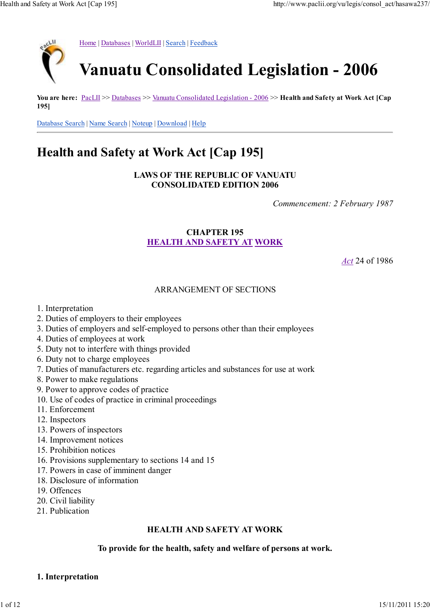

**You are here:** PacLII >> Databases >> Vanuatu Consolidated Legislation - 2006 >> **Health and Safety at Work Act [Cap 195]**

Database Search | Name Search | Noteup | Download | Help

# **Health and Safety at Work Act [Cap 195]**

## **LAWS OF THE REPUBLIC OF VANUATU CONSOLIDATED EDITION 2006**

*Commencement: 2 February 1987*

## **CHAPTER 195 HEALTH AND SAFETY AT WORK**

*Act* 24 of 1986

## ARRANGEMENT OF SECTIONS

- 1. Interpretation
- 2. Duties of employers to their employees
- 3. Duties of employers and self-employed to persons other than their employees
- 4. Duties of employees at work
- 5. Duty not to interfere with things provided
- 6. Duty not to charge employees
- 7. Duties of manufacturers etc. regarding articles and substances for use at work
- 8. Power to make regulations
- 9. Power to approve codes of practice
- 10. Use of codes of practice in criminal proceedings
- 11. Enforcement
- 12. Inspectors
- 13. Powers of inspectors
- 14. Improvement notices
- 15. Prohibition notices
- 16. Provisions supplementary to sections 14 and 15
- 17. Powers in case of imminent danger
- 18. Disclosure of information
- 19. Offences
- 20. Civil liability
- 21. Publication

## **HEALTH AND SAFETY AT WORK**

## **To provide for the health, safety and welfare of persons at work.**

#### **1. Interpretation**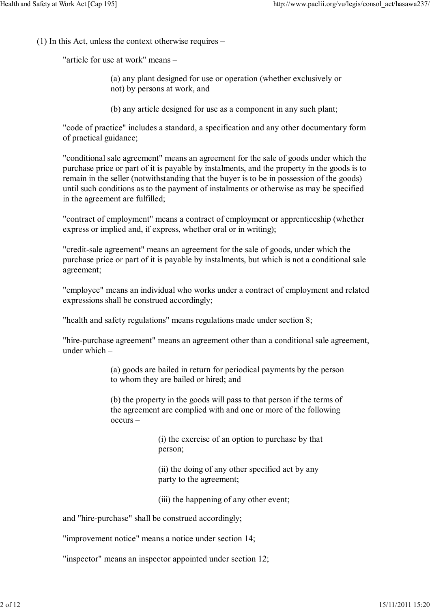(1) In this Act, unless the context otherwise requires –

"article for use at work" means –

(a) any plant designed for use or operation (whether exclusively or not) by persons at work, and

(b) any article designed for use as a component in any such plant;

"code of practice" includes a standard, a specification and any other documentary form of practical guidance;

"conditional sale agreement" means an agreement for the sale of goods under which the purchase price or part of it is payable by instalments, and the property in the goods is to remain in the seller (notwithstanding that the buyer is to be in possession of the goods) until such conditions as to the payment of instalments or otherwise as may be specified in the agreement are fulfilled;

"contract of employment" means a contract of employment or apprenticeship (whether express or implied and, if express, whether oral or in writing);

"credit-sale agreement" means an agreement for the sale of goods, under which the purchase price or part of it is payable by instalments, but which is not a conditional sale agreement;

"employee" means an individual who works under a contract of employment and related expressions shall be construed accordingly;

"health and safety regulations" means regulations made under section 8;

"hire-purchase agreement" means an agreement other than a conditional sale agreement, under which –

> (a) goods are bailed in return for periodical payments by the person to whom they are bailed or hired; and

> (b) the property in the goods will pass to that person if the terms of the agreement are complied with and one or more of the following occurs –

> > (i) the exercise of an option to purchase by that person;

(ii) the doing of any other specified act by any party to the agreement;

(iii) the happening of any other event;

and "hire-purchase" shall be construed accordingly;

"improvement notice" means a notice under section 14;

"inspector" means an inspector appointed under section 12;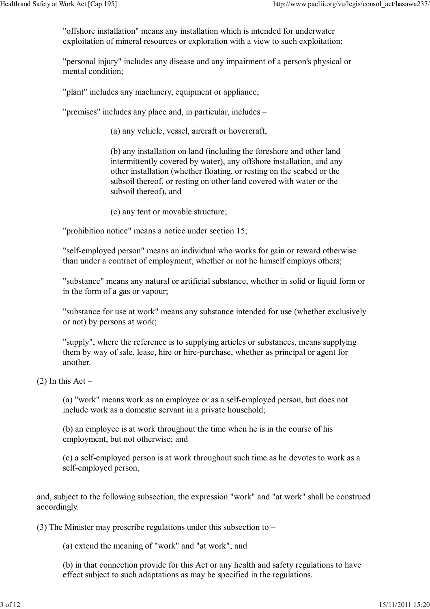"offshore installation" means any installation which is intended for underwater exploitation of mineral resources or exploration with a view to such exploitation;

"personal injury" includes any disease and any impairment of a person's physical or mental condition;

"plant" includes any machinery, equipment or appliance;

"premises" includes any place and, in particular, includes –

(a) any vehicle, vessel, aircraft or hovercraft,

(b) any installation on land (including the foreshore and other land intermittently covered by water), any offshore installation, and any other installation (whether floating, or resting on the seabed or the subsoil thereof, or resting on other land covered with water or the subsoil thereof), and

(c) any tent or movable structure;

"prohibition notice" means a notice under section 15;

"self-employed person" means an individual who works for gain or reward otherwise than under a contract of employment, whether or not he himself employs others;

"substance" means any natural or artificial substance, whether in solid or liquid form or in the form of a gas or vapour;

"substance for use at work" means any substance intended for use (whether exclusively or not) by persons at work;

"supply", where the reference is to supplying articles or substances, means supplying them by way of sale, lease, hire or hire-purchase, whether as principal or agent for another.

 $(2)$  In this Act –

(a) "work" means work as an employee or as a self-employed person, but does not include work as a domestic servant in a private household;

(b) an employee is at work throughout the time when he is in the course of his employment, but not otherwise; and

(c) a self-employed person is at work throughout such time as he devotes to work as a self-employed person,

and, subject to the following subsection, the expression "work" and "at work" shall be construed accordingly.

(3) The Minister may prescribe regulations under this subsection to –

(a) extend the meaning of "work" and "at work"; and

(b) in that connection provide for this Act or any health and safety regulations to have effect subject to such adaptations as may be specified in the regulations.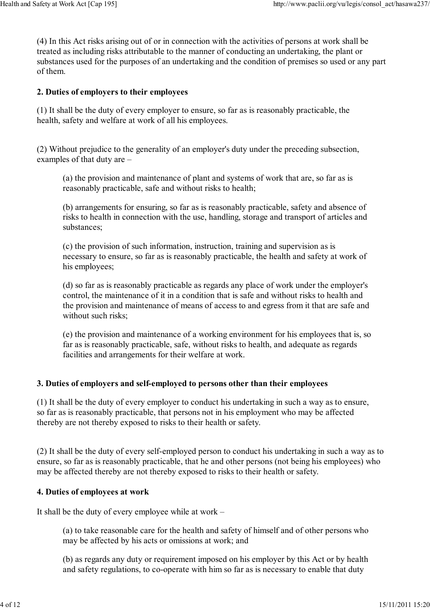(4) In this Act risks arising out of or in connection with the activities of persons at work shall be treated as including risks attributable to the manner of conducting an undertaking, the plant or substances used for the purposes of an undertaking and the condition of premises so used or any part of them.

# **2. Duties of employers to their employees**

(1) It shall be the duty of every employer to ensure, so far as is reasonably practicable, the health, safety and welfare at work of all his employees.

(2) Without prejudice to the generality of an employer's duty under the preceding subsection, examples of that duty are –

(a) the provision and maintenance of plant and systems of work that are, so far as is reasonably practicable, safe and without risks to health;

(b) arrangements for ensuring, so far as is reasonably practicable, safety and absence of risks to health in connection with the use, handling, storage and transport of articles and substances;

(c) the provision of such information, instruction, training and supervision as is necessary to ensure, so far as is reasonably practicable, the health and safety at work of his employees;

(d) so far as is reasonably practicable as regards any place of work under the employer's control, the maintenance of it in a condition that is safe and without risks to health and the provision and maintenance of means of access to and egress from it that are safe and without such risks;

(e) the provision and maintenance of a working environment for his employees that is, so far as is reasonably practicable, safe, without risks to health, and adequate as regards facilities and arrangements for their welfare at work.

## **3. Duties of employers and self-employed to persons other than their employees**

(1) It shall be the duty of every employer to conduct his undertaking in such a way as to ensure, so far as is reasonably practicable, that persons not in his employment who may be affected thereby are not thereby exposed to risks to their health or safety.

(2) It shall be the duty of every self-employed person to conduct his undertaking in such a way as to ensure, so far as is reasonably practicable, that he and other persons (not being his employees) who may be affected thereby are not thereby exposed to risks to their health or safety.

## **4. Duties of employees at work**

It shall be the duty of every employee while at work –

(a) to take reasonable care for the health and safety of himself and of other persons who may be affected by his acts or omissions at work; and

(b) as regards any duty or requirement imposed on his employer by this Act or by health and safety regulations, to co-operate with him so far as is necessary to enable that duty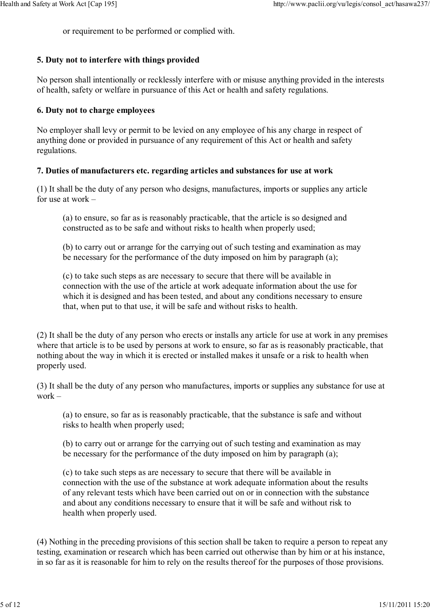or requirement to be performed or complied with.

## **5. Duty not to interfere with things provided**

No person shall intentionally or recklessly interfere with or misuse anything provided in the interests of health, safety or welfare in pursuance of this Act or health and safety regulations.

## **6. Duty not to charge employees**

No employer shall levy or permit to be levied on any employee of his any charge in respect of anything done or provided in pursuance of any requirement of this Act or health and safety regulations.

## **7. Duties of manufacturers etc. regarding articles and substances for use at work**

(1) It shall be the duty of any person who designs, manufactures, imports or supplies any article for use at work –

(a) to ensure, so far as is reasonably practicable, that the article is so designed and constructed as to be safe and without risks to health when properly used;

(b) to carry out or arrange for the carrying out of such testing and examination as may be necessary for the performance of the duty imposed on him by paragraph (a);

(c) to take such steps as are necessary to secure that there will be available in connection with the use of the article at work adequate information about the use for which it is designed and has been tested, and about any conditions necessary to ensure that, when put to that use, it will be safe and without risks to health.

(2) It shall be the duty of any person who erects or installs any article for use at work in any premises where that article is to be used by persons at work to ensure, so far as is reasonably practicable, that nothing about the way in which it is erected or installed makes it unsafe or a risk to health when properly used.

(3) It shall be the duty of any person who manufactures, imports or supplies any substance for use at work –

(a) to ensure, so far as is reasonably practicable, that the substance is safe and without risks to health when properly used;

(b) to carry out or arrange for the carrying out of such testing and examination as may be necessary for the performance of the duty imposed on him by paragraph (a);

(c) to take such steps as are necessary to secure that there will be available in connection with the use of the substance at work adequate information about the results of any relevant tests which have been carried out on or in connection with the substance and about any conditions necessary to ensure that it will be safe and without risk to health when properly used.

(4) Nothing in the preceding provisions of this section shall be taken to require a person to repeat any testing, examination or research which has been carried out otherwise than by him or at his instance, in so far as it is reasonable for him to rely on the results thereof for the purposes of those provisions.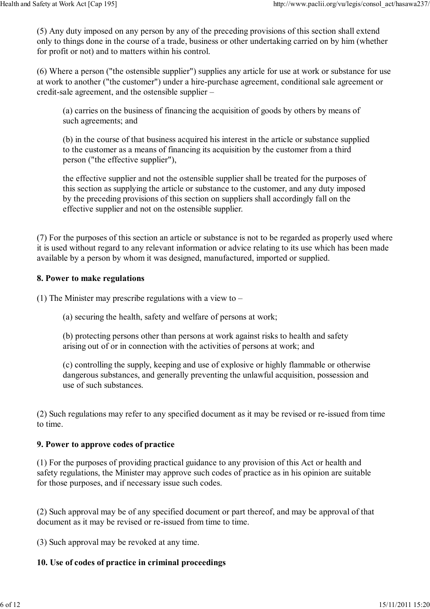(5) Any duty imposed on any person by any of the preceding provisions of this section shall extend only to things done in the course of a trade, business or other undertaking carried on by him (whether for profit or not) and to matters within his control.

(6) Where a person ("the ostensible supplier") supplies any article for use at work or substance for use at work to another ("the customer") under a hire-purchase agreement, conditional sale agreement or credit-sale agreement, and the ostensible supplier –

(a) carries on the business of financing the acquisition of goods by others by means of such agreements; and

(b) in the course of that business acquired his interest in the article or substance supplied to the customer as a means of financing its acquisition by the customer from a third person ("the effective supplier"),

the effective supplier and not the ostensible supplier shall be treated for the purposes of this section as supplying the article or substance to the customer, and any duty imposed by the preceding provisions of this section on suppliers shall accordingly fall on the effective supplier and not on the ostensible supplier.

(7) For the purposes of this section an article or substance is not to be regarded as properly used where it is used without regard to any relevant information or advice relating to its use which has been made available by a person by whom it was designed, manufactured, imported or supplied.

## **8. Power to make regulations**

(1) The Minister may prescribe regulations with a view to –

(a) securing the health, safety and welfare of persons at work;

(b) protecting persons other than persons at work against risks to health and safety arising out of or in connection with the activities of persons at work; and

(c) controlling the supply, keeping and use of explosive or highly flammable or otherwise dangerous substances, and generally preventing the unlawful acquisition, possession and use of such substances.

(2) Such regulations may refer to any specified document as it may be revised or re-issued from time to time.

## **9. Power to approve codes of practice**

(1) For the purposes of providing practical guidance to any provision of this Act or health and safety regulations, the Minister may approve such codes of practice as in his opinion are suitable for those purposes, and if necessary issue such codes.

(2) Such approval may be of any specified document or part thereof, and may be approval of that document as it may be revised or re-issued from time to time.

(3) Such approval may be revoked at any time.

# **10. Use of codes of practice in criminal proceedings**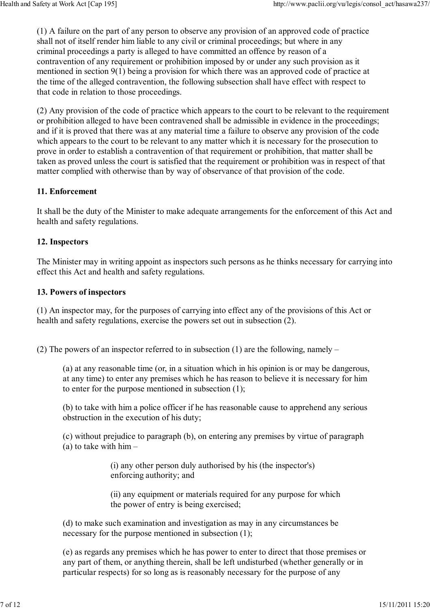(1) A failure on the part of any person to observe any provision of an approved code of practice shall not of itself render him liable to any civil or criminal proceedings; but where in any criminal proceedings a party is alleged to have committed an offence by reason of a contravention of any requirement or prohibition imposed by or under any such provision as it mentioned in section 9(1) being a provision for which there was an approved code of practice at the time of the alleged contravention, the following subsection shall have effect with respect to that code in relation to those proceedings.

(2) Any provision of the code of practice which appears to the court to be relevant to the requirement or prohibition alleged to have been contravened shall be admissible in evidence in the proceedings; and if it is proved that there was at any material time a failure to observe any provision of the code which appears to the court to be relevant to any matter which it is necessary for the prosecution to prove in order to establish a contravention of that requirement or prohibition, that matter shall be taken as proved unless the court is satisfied that the requirement or prohibition was in respect of that matter complied with otherwise than by way of observance of that provision of the code.

## **11. Enforcement**

It shall be the duty of the Minister to make adequate arrangements for the enforcement of this Act and health and safety regulations.

## **12. Inspectors**

The Minister may in writing appoint as inspectors such persons as he thinks necessary for carrying into effect this Act and health and safety regulations.

## **13. Powers of inspectors**

(1) An inspector may, for the purposes of carrying into effect any of the provisions of this Act or health and safety regulations, exercise the powers set out in subsection (2).

(2) The powers of an inspector referred to in subsection (1) are the following, namely –

(a) at any reasonable time (or, in a situation which in his opinion is or may be dangerous, at any time) to enter any premises which he has reason to believe it is necessary for him to enter for the purpose mentioned in subsection (1);

(b) to take with him a police officer if he has reasonable cause to apprehend any serious obstruction in the execution of his duty;

(c) without prejudice to paragraph (b), on entering any premises by virtue of paragraph (a) to take with  $him -$ 

> (i) any other person duly authorised by his (the inspector's) enforcing authority; and

(ii) any equipment or materials required for any purpose for which the power of entry is being exercised;

(d) to make such examination and investigation as may in any circumstances be necessary for the purpose mentioned in subsection (1);

(e) as regards any premises which he has power to enter to direct that those premises or any part of them, or anything therein, shall be left undisturbed (whether generally or in particular respects) for so long as is reasonably necessary for the purpose of any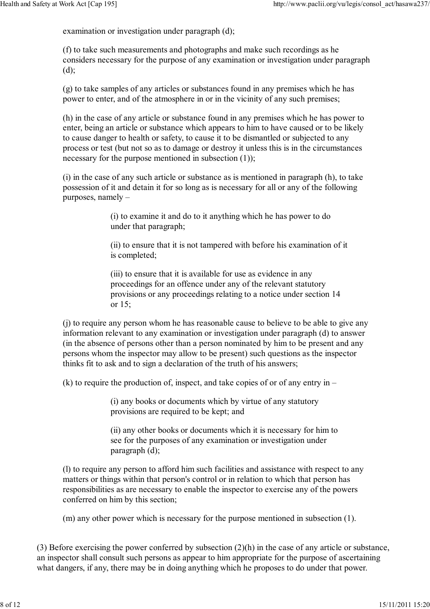examination or investigation under paragraph (d);

(f) to take such measurements and photographs and make such recordings as he considers necessary for the purpose of any examination or investigation under paragraph  $(d)$ :

(g) to take samples of any articles or substances found in any premises which he has power to enter, and of the atmosphere in or in the vicinity of any such premises;

(h) in the case of any article or substance found in any premises which he has power to enter, being an article or substance which appears to him to have caused or to be likely to cause danger to health or safety, to cause it to be dismantled or subjected to any process or test (but not so as to damage or destroy it unless this is in the circumstances necessary for the purpose mentioned in subsection (1));

(i) in the case of any such article or substance as is mentioned in paragraph (h), to take possession of it and detain it for so long as is necessary for all or any of the following purposes, namely –

> (i) to examine it and do to it anything which he has power to do under that paragraph;

(ii) to ensure that it is not tampered with before his examination of it is completed;

(iii) to ensure that it is available for use as evidence in any proceedings for an offence under any of the relevant statutory provisions or any proceedings relating to a notice under section 14 or 15;

(j) to require any person whom he has reasonable cause to believe to be able to give any information relevant to any examination or investigation under paragraph (d) to answer (in the absence of persons other than a person nominated by him to be present and any persons whom the inspector may allow to be present) such questions as the inspector thinks fit to ask and to sign a declaration of the truth of his answers;

(k) to require the production of, inspect, and take copies of or of any entry in –

(i) any books or documents which by virtue of any statutory provisions are required to be kept; and

(ii) any other books or documents which it is necessary for him to see for the purposes of any examination or investigation under paragraph (d);

(l) to require any person to afford him such facilities and assistance with respect to any matters or things within that person's control or in relation to which that person has responsibilities as are necessary to enable the inspector to exercise any of the powers conferred on him by this section;

(m) any other power which is necessary for the purpose mentioned in subsection (1).

(3) Before exercising the power conferred by subsection (2)(h) in the case of any article or substance, an inspector shall consult such persons as appear to him appropriate for the purpose of ascertaining what dangers, if any, there may be in doing anything which he proposes to do under that power.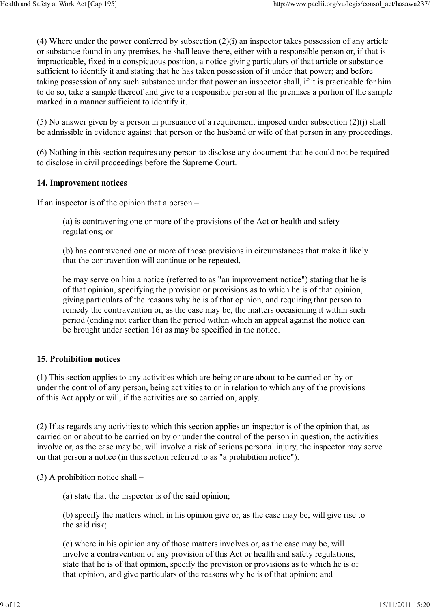(4) Where under the power conferred by subsection (2)(i) an inspector takes possession of any article or substance found in any premises, he shall leave there, either with a responsible person or, if that is impracticable, fixed in a conspicuous position, a notice giving particulars of that article or substance sufficient to identify it and stating that he has taken possession of it under that power; and before taking possession of any such substance under that power an inspector shall, if it is practicable for him to do so, take a sample thereof and give to a responsible person at the premises a portion of the sample marked in a manner sufficient to identify it.

(5) No answer given by a person in pursuance of a requirement imposed under subsection (2)(j) shall be admissible in evidence against that person or the husband or wife of that person in any proceedings.

(6) Nothing in this section requires any person to disclose any document that he could not be required to disclose in civil proceedings before the Supreme Court.

## **14. Improvement notices**

If an inspector is of the opinion that a person –

(a) is contravening one or more of the provisions of the Act or health and safety regulations; or

(b) has contravened one or more of those provisions in circumstances that make it likely that the contravention will continue or be repeated,

he may serve on him a notice (referred to as "an improvement notice") stating that he is of that opinion, specifying the provision or provisions as to which he is of that opinion, giving particulars of the reasons why he is of that opinion, and requiring that person to remedy the contravention or, as the case may be, the matters occasioning it within such period (ending not earlier than the period within which an appeal against the notice can be brought under section 16) as may be specified in the notice.

# **15. Prohibition notices**

(1) This section applies to any activities which are being or are about to be carried on by or under the control of any person, being activities to or in relation to which any of the provisions of this Act apply or will, if the activities are so carried on, apply.

(2) If as regards any activities to which this section applies an inspector is of the opinion that, as carried on or about to be carried on by or under the control of the person in question, the activities involve or, as the case may be, will involve a risk of serious personal injury, the inspector may serve on that person a notice (in this section referred to as "a prohibition notice").

(3) A prohibition notice shall –

(a) state that the inspector is of the said opinion;

(b) specify the matters which in his opinion give or, as the case may be, will give rise to the said risk;

(c) where in his opinion any of those matters involves or, as the case may be, will involve a contravention of any provision of this Act or health and safety regulations, state that he is of that opinion, specify the provision or provisions as to which he is of that opinion, and give particulars of the reasons why he is of that opinion; and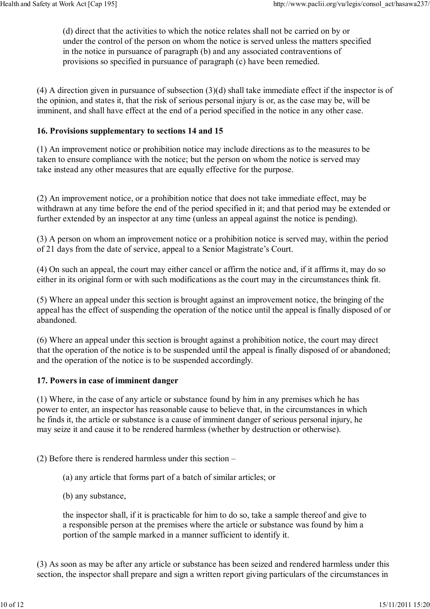(d) direct that the activities to which the notice relates shall not be carried on by or under the control of the person on whom the notice is served unless the matters specified in the notice in pursuance of paragraph (b) and any associated contraventions of provisions so specified in pursuance of paragraph (c) have been remedied.

(4) A direction given in pursuance of subsection (3)(d) shall take immediate effect if the inspector is of the opinion, and states it, that the risk of serious personal injury is or, as the case may be, will be imminent, and shall have effect at the end of a period specified in the notice in any other case.

## **16. Provisions supplementary to sections 14 and 15**

(1) An improvement notice or prohibition notice may include directions as to the measures to be taken to ensure compliance with the notice; but the person on whom the notice is served may take instead any other measures that are equally effective for the purpose.

(2) An improvement notice, or a prohibition notice that does not take immediate effect, may be withdrawn at any time before the end of the period specified in it; and that period may be extended or further extended by an inspector at any time (unless an appeal against the notice is pending).

(3) A person on whom an improvement notice or a prohibition notice is served may, within the period of 21 days from the date of service, appeal to a Senior Magistrate's Court.

(4) On such an appeal, the court may either cancel or affirm the notice and, if it affirms it, may do so either in its original form or with such modifications as the court may in the circumstances think fit.

(5) Where an appeal under this section is brought against an improvement notice, the bringing of the appeal has the effect of suspending the operation of the notice until the appeal is finally disposed of or abandoned.

(6) Where an appeal under this section is brought against a prohibition notice, the court may direct that the operation of the notice is to be suspended until the appeal is finally disposed of or abandoned; and the operation of the notice is to be suspended accordingly.

# **17. Powers in case of imminent danger**

(1) Where, in the case of any article or substance found by him in any premises which he has power to enter, an inspector has reasonable cause to believe that, in the circumstances in which he finds it, the article or substance is a cause of imminent danger of serious personal injury, he may seize it and cause it to be rendered harmless (whether by destruction or otherwise).

(2) Before there is rendered harmless under this section –

- (a) any article that forms part of a batch of similar articles; or
- (b) any substance,

the inspector shall, if it is practicable for him to do so, take a sample thereof and give to a responsible person at the premises where the article or substance was found by him a portion of the sample marked in a manner sufficient to identify it.

(3) As soon as may be after any article or substance has been seized and rendered harmless under this section, the inspector shall prepare and sign a written report giving particulars of the circumstances in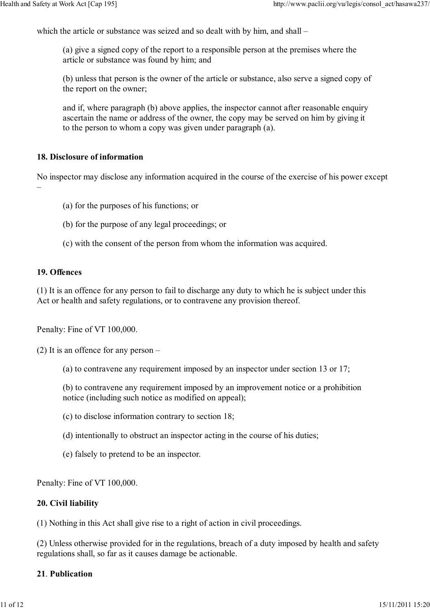which the article or substance was seized and so dealt with by him, and shall –

(a) give a signed copy of the report to a responsible person at the premises where the article or substance was found by him; and

(b) unless that person is the owner of the article or substance, also serve a signed copy of the report on the owner;

and if, where paragraph (b) above applies, the inspector cannot after reasonable enquiry ascertain the name or address of the owner, the copy may be served on him by giving it to the person to whom a copy was given under paragraph (a).

#### **18. Disclosure of information**

No inspector may disclose any information acquired in the course of the exercise of his power except –

- (a) for the purposes of his functions; or
- (b) for the purpose of any legal proceedings; or
- (c) with the consent of the person from whom the information was acquired.

#### **19. Offences**

(1) It is an offence for any person to fail to discharge any duty to which he is subject under this Act or health and safety regulations, or to contravene any provision thereof.

Penalty: Fine of VT 100,000.

- (2) It is an offence for any person
	- (a) to contravene any requirement imposed by an inspector under section 13 or 17;

(b) to contravene any requirement imposed by an improvement notice or a prohibition notice (including such notice as modified on appeal);

- (c) to disclose information contrary to section 18;
- (d) intentionally to obstruct an inspector acting in the course of his duties;
- (e) falsely to pretend to be an inspector.

Penalty: Fine of VT 100,000.

#### **20. Civil liability**

(1) Nothing in this Act shall give rise to a right of action in civil proceedings.

(2) Unless otherwise provided for in the regulations, breach of a duty imposed by health and safety regulations shall, so far as it causes damage be actionable.

#### **21**. **Publication**